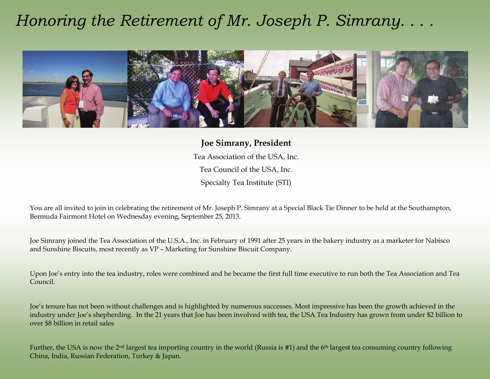## *Honoring the Retirement of Mr. Joseph P. Simrany. . . .*



**Joe Simrany, President**  Tea Association of the USA, Inc. Tea Council of the USA, Inc. Specialty Tea Institute (STI)

You are all invited to join in celebrating the retirement of Mr. Joseph P. Simrany at a Special Black Tie Dinner to be held at the Southampton, Bermuda Fairmont Hotel on Wednesday evening, September 25, 2013.

Joe Simrany joined the Tea Association of the U.S.A., Inc. in February of 1991 after 25 years in the bakery industry as a marketer for Nabisco and Sunshine Biscuits, most recently as VP – Marketing for Sunshine Biscuit Company.

Upon Joe's entry into the tea industry, roles were combined and he became the first full time executive to run both the Tea Association and Tea Council.

Joe's tenure has not been without challenges and is highlighted by numerous successes. Most impressive has been the growth achieved in the industry under Joe's shepherding. In the 21 years that Joe has been involved with tea, the USA Tea Industry has grown from under \$2 billion to over \$8 billion in retail sales

Further, the USA is now the 2nd largest tea importing country in the world (Russia is #1) and the 6th largest tea consuming country following China, India, Russian Federation, Turkey & Japan.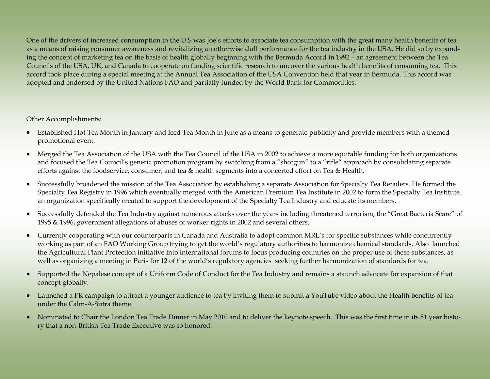One of the drivers of increased consumption in the U.S was Joe's efforts to associate tea consumption with the great many health benefits of tea as a means of raising consumer awareness and revitalizing an otherwise dull performance for the tea industry in the USA. He did so by expanding the concept of marketing tea on the basis of health globally beginning with the Bermuda Accord in 1992 – an agreement between the Tea Councils of the USA, UK, and Canada to cooperate on funding scientific research to uncover the various health benefits of consuming tea. This accord took place during a special meeting at the Annual Tea Association of the USA Convention held that year in Bermuda. This accord was adopted and endorsed by the United Nations FAO and partially funded by the World Bank for Commodities.

## Other Accomplishments:

- Established Hot Tea Month in January and Iced Tea Month in June as a means to generate publicity and provide members with a themed promotional event.
- Merged the Tea Association of the USA with the Tea Council of the USA in 2002 to achieve a more equitable funding for both organizations and focused the Tea Council's generic promotion program by switching from a "shotgun" to a "rifle" approach by consolidating separate efforts against the foodservice, consumer, and tea & health segments into a concerted effort on Tea & Health.
- $\bullet$  Successfully broadened the mission of the Tea Association by establishing a separate Association for Specialty Tea Retailers. He formed the Specialty Tea Registry in 1996 which eventually merged with the American Premium Tea Institute in 2002 to form the Specialty Tea Institute. an organization specifically created to support the development of the Specialty Tea Industry and educate its members.
- $\bullet$  Successfully defended the Tea Industry against numerous attacks over the years including threatened terrorism, the "Great Bacteria Scare" of 1995 & 1996, government allegations of abuses of worker rights in 2002 and several others.
- Currently cooperating with our counterparts in Canada and Australia to adopt common MRL's for specific substances while concurrently working as part of an FAO Working Group trying to get the world's regulatory authorities to harmonize chemical standards. Also launched the Agricultural Plant Protection initiative into international forums to focus producing countries on the proper use of these substances, as well as organizing a meeting in Paris for 12 of the world's regulatory agencies seeking further harmonization of standards for tea.
- $\bullet$  Supported the Nepalese concept of a Uniform Code of Conduct for the Tea Industry and remains a staunch advocate for expansion of that concept globally.
- Launched a PR campaign to attract a younger audience to tea by inviting them to submit a YouTube video about the Health benefits of tea under the Calm-A-Sutra theme.
- Nominated to Chair the London Tea Trade Dinner in May 2010 and to deliver the keynote speech. This was the first time in its 81 year history that a non-British Tea Trade Executive was so honored.